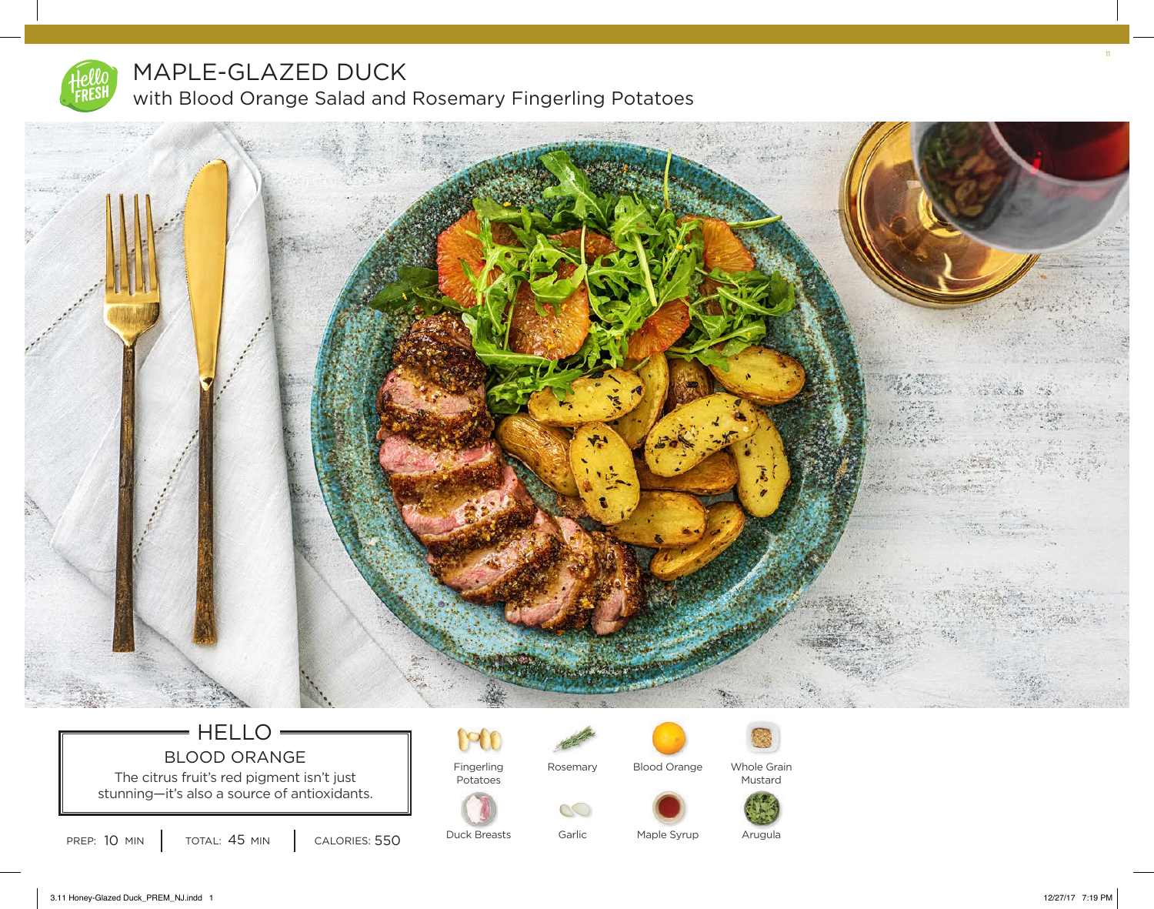

## MAPLE-GLAZED DUCK with Blood Orange Salad and Rosemary Fingerling Potatoes



#### HELLO<sup>®</sup>  $\equiv$ BLOOD ORANGE

The citrus fruit's red pigment isn't just  $\|\cdot\|$ stunning—it's also a source of antioxidants.

TOTAL: 45 MIN

090 Fingerling



Rosemary

 $CC$ 



Blood Orange

Whole Grain Mustard





Arugula



Garlic Maple Syrup 11